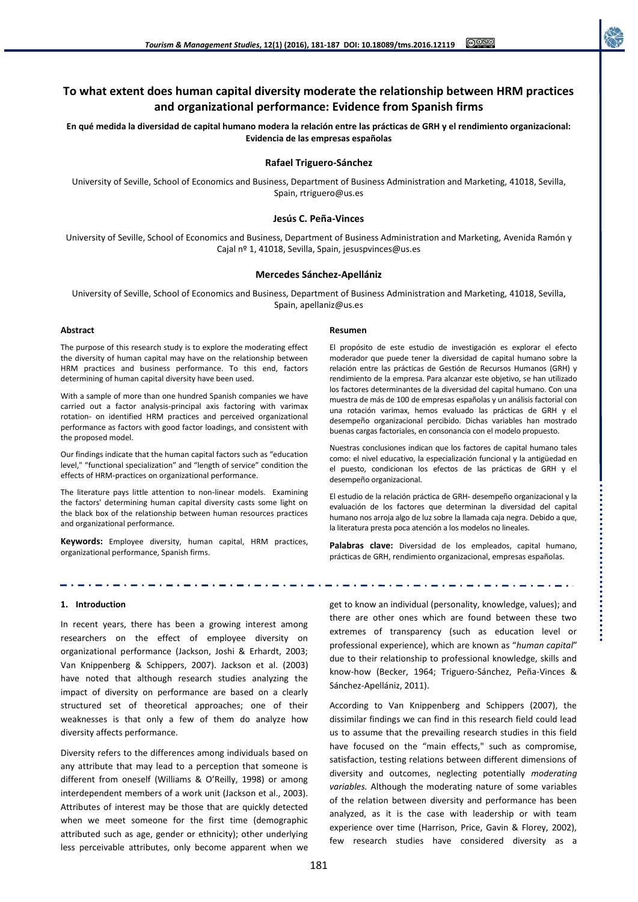# **To what extent does human capital diversity moderate the relationship between HRM practices and organizational performance: Evidence from Spanish firms**

**En qué medida la diversidad de capital humano modera la relación entre las prácticas de GRH y el rendimiento organizacional: Evidencia de las empresas españolas**

## **Rafael Triguero-Sánchez**

University of Seville, School of Economics and Business, Department of Business Administration and Marketing, 41018, Sevilla, Spain, rtriguero@us.es

## **Jesús C. Peña-Vinces**

University of Seville, School of Economics and Business, Department of Business Administration and Marketing, Avenida Ramón y Cajal nº 1, 41018, Sevilla, Spain, jesuspvinces@us.es

## **Mercedes Sánchez-Apellániz**

University of Seville, School of Economics and Business, Department of Business Administration and Marketing, 41018, Sevilla, Spain, apellaniz@us.es

### **Abstract**

The purpose of this research study is to explore the moderating effect the diversity of human capital may have on the relationship between HRM practices and business performance. To this end, factors determining of human capital diversity have been used.

With a sample of more than one hundred Spanish companies we have carried out a factor analysis-principal axis factoring with varimax rotation- on identified HRM practices and perceived organizational performance as factors with good factor loadings, and consistent with the proposed model.

Our findings indicate that the human capital factors such as "education level," "functional specialization" and "length of service" condition the effects of HRM-practices on organizational performance.

The literature pays little attention to non-linear models. Examining the factors' determining human capital diversity casts some light on the black box of the relationship between human resources practices and organizational performance.

**Keywords:** Employee diversity, human capital, HRM practices, organizational performance, Spanish firms.

#### **Resumen**

El propósito de este estudio de investigación es explorar el efecto moderador que puede tener la diversidad de capital humano sobre la relación entre las prácticas de Gestión de Recursos Humanos (GRH) y rendimiento de la empresa. Para alcanzar este objetivo, se han utilizado los factores determinantes de la diversidad del capital humano. Con una muestra de más de 100 de empresas españolas y un análisis factorial con una rotación varimax, hemos evaluado las prácticas de GRH y el desempeño organizacional percibido. Dichas variables han mostrado buenas cargas factoriales, en consonancia con el modelo propuesto.

Nuestras conclusiones indican que los factores de capital humano tales como: el nivel educativo, la especialización funcional y la antigüedad en el puesto, condicionan los efectos de las prácticas de GRH y el desempeño organizacional.

El estudio de la relación práctica de GRH- desempeño organizacional y la evaluación de los factores que determinan la diversidad del capital humano nos arroja algo de luz sobre la llamada caja negra. Debido a que, la literatura presta poca atención a los modelos no lineales.

**Palabras clave:** Diversidad de los empleados, capital humano, prácticas de GRH, rendimiento organizacional, empresas españolas.

................................

## **1. Introduction**

In recent years, there has been a growing interest among researchers on the effect of employee diversity on organizational performance (Jackson, Joshi & Erhardt, 2003; Van Knippenberg & Schippers, 2007). Jackson et al. (2003) have noted that although research studies analyzing the impact of diversity on performance are based on a clearly structured set of theoretical approaches; one of their weaknesses is that only a few of them do analyze how diversity affects performance.

Diversity refers to the differences among individuals based on any attribute that may lead to a perception that someone is different from oneself (Williams & O'Reilly, 1998) or among interdependent members of a work unit (Jackson et al., 2003). Attributes of interest may be those that are quickly detected when we meet someone for the first time (demographic attributed such as age, gender or ethnicity); other underlying less perceivable attributes, only become apparent when we get to know an individual (personality, knowledge, values); and there are other ones which are found between these two extremes of transparency (such as education level or professional experience), which are known as "*human capital*" due to their relationship to professional knowledge, skills and know-how (Becker, 1964; Triguero-Sánchez, Peña-Vinces & Sánchez-Apellániz, 2011).

According to Van Knippenberg and Schippers (2007), the dissimilar findings we can find in this research field could lead us to assume that the prevailing research studies in this field have focused on the "main effects," such as compromise, satisfaction, testing relations between different dimensions of diversity and outcomes, neglecting potentially *moderating variables.* Although the moderating nature of some variables of the relation between diversity and performance has been analyzed, as it is the case with leadership or with team experience over time (Harrison, Price, Gavin & Florey, 2002), few research studies have considered diversity as a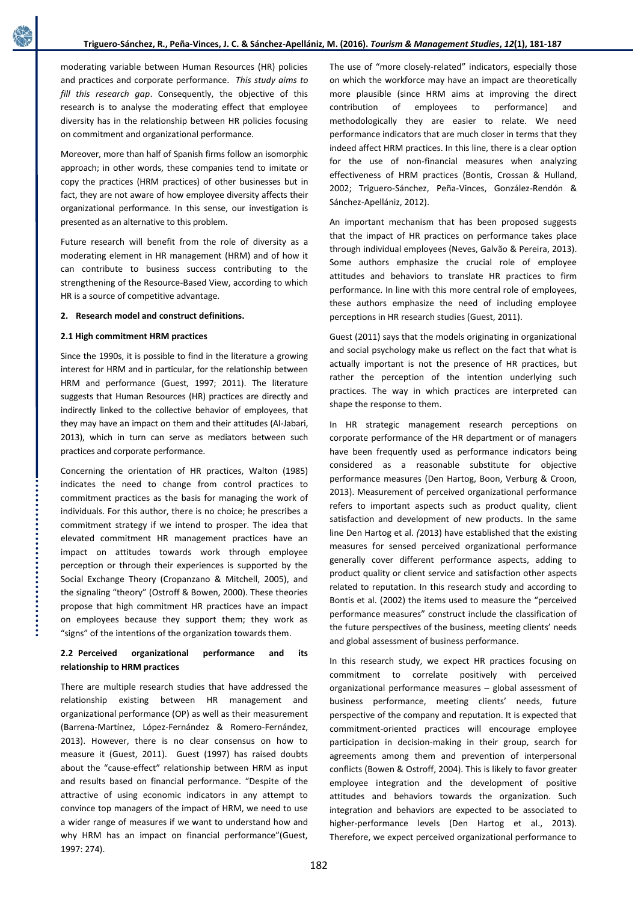moderating variable between Human Resources (HR) policies and practices and corporate performance. *This study aims to fill this research gap*. Consequently, the objective of this research is to analyse the moderating effect that employee diversity has in the relationship between HR policies focusing on commitment and organizational performance.

Moreover, more than half of Spanish firms follow an isomorphic approach; in other words, these companies tend to imitate or copy the practices (HRM practices) of other businesses but in fact, they are not aware of how employee diversity affects their organizational performance. In this sense, our investigation is presented as an alternative to this problem.

Future research will benefit from the role of diversity as a moderating element in HR management (HRM) and of how it can contribute to business success contributing to the strengthening of the Resource-Based View, according to which HR is a source of competitive advantage.

## **2. Research model and construct definitions.**

## **2.1 High commitment HRM practices**

Since the 1990s, it is possible to find in the literature a growing interest for HRM and in particular, for the relationship between HRM and performance (Guest, 1997; 2011). The literature suggests that Human Resources (HR) practices are directly and indirectly linked to the collective behavior of employees, that they may have an impact on them and their attitudes (Al-Jabari, 2013), which in turn can serve as mediators between such practices and corporate performance.

Concerning the orientation of HR practices, Walton (1985) indicates the need to change from control practices to commitment practices as the basis for managing the work of individuals. For this author, there is no choice; he prescribes a commitment strategy if we intend to prosper. The idea that elevated commitment HR management practices have an impact on attitudes towards work through employee perception or through their experiences is supported by the Social Exchange Theory (Cropanzano & Mitchell, 2005), and the signaling "theory" (Ostroff & Bowen, 2000). These theories propose that high commitment HR practices have an impact on employees because they support them; they work as "signs" of the intentions of the organization towards them.

## **2.2 Perceived organizational performance and its relationship to HRM practices**

There are multiple research studies that have addressed the relationship existing between HR management and organizational performance (OP) as well as their measurement (Barrena-Martínez, López-Fernández & Romero-Fernández, 2013). However, there is no clear consensus on how to measure it (Guest, 2011). Guest (1997) has raised doubts about the "cause-effect" relationship between HRM as input and results based on financial performance. "Despite of the attractive of using economic indicators in any attempt to convince top managers of the impact of HRM, we need to use a wider range of measures if we want to understand how and why HRM has an impact on financial performance"(Guest, 1997: 274).

The use of "more closely-related" indicators, especially those on which the workforce may have an impact are theoretically more plausible (since HRM aims at improving the direct contribution of employees to performance) and methodologically they are easier to relate. We need performance indicators that are much closer in terms that they indeed affect HRM practices. In this line, there is a clear option for the use of non-financial measures when analyzing effectiveness of HRM practices (Bontis, Crossan & Hulland, 2002; Triguero-Sánchez, Peña-Vinces, González-Rendón & Sánchez-Apellániz, 2012).

An important mechanism that has been proposed suggests that the impact of HR practices on performance takes place through individual employees (Neves, Galvão & Pereira, 2013). Some authors emphasize the crucial role of employee attitudes and behaviors to translate HR practices to firm performance. In line with this more central role of employees, these authors emphasize the need of including employee perceptions in HR research studies (Guest, 2011).

Guest (2011) says that the models originating in organizational and social psychology make us reflect on the fact that what is actually important is not the presence of HR practices, but rather the perception of the intention underlying such practices. The way in which practices are interpreted can shape the response to them.

In HR strategic management research perceptions on corporate performance of the HR department or of managers have been frequently used as performance indicators being considered as a reasonable substitute for objective performance measures (Den Hartog, Boon, Verburg & Croon, 2013). Measurement of perceived organizational performance refers to important aspects such as product quality, client satisfaction and development of new products. In the same line Den Hartog et al. *(*2013) have established that the existing measures for sensed perceived organizational performance generally cover different performance aspects, adding to product quality or client service and satisfaction other aspects related to reputation. In this research study and according to Bontis et al. (2002) the items used to measure the "perceived performance measures" construct include the classification of the future perspectives of the business, meeting clients' needs and global assessment of business performance.

In this research study, we expect HR practices focusing on commitment to correlate positively with perceived organizational performance measures – global assessment of business performance, meeting clients' needs, future perspective of the company and reputation. It is expected that commitment-oriented practices will encourage employee participation in decision-making in their group, search for agreements among them and prevention of interpersonal conflicts (Bowen & Ostroff, 2004). This is likely to favor greater employee integration and the development of positive attitudes and behaviors towards the organization. Such integration and behaviors are expected to be associated to higher-performance levels (Den Hartog et al., 2013). Therefore, we expect perceived organizational performance to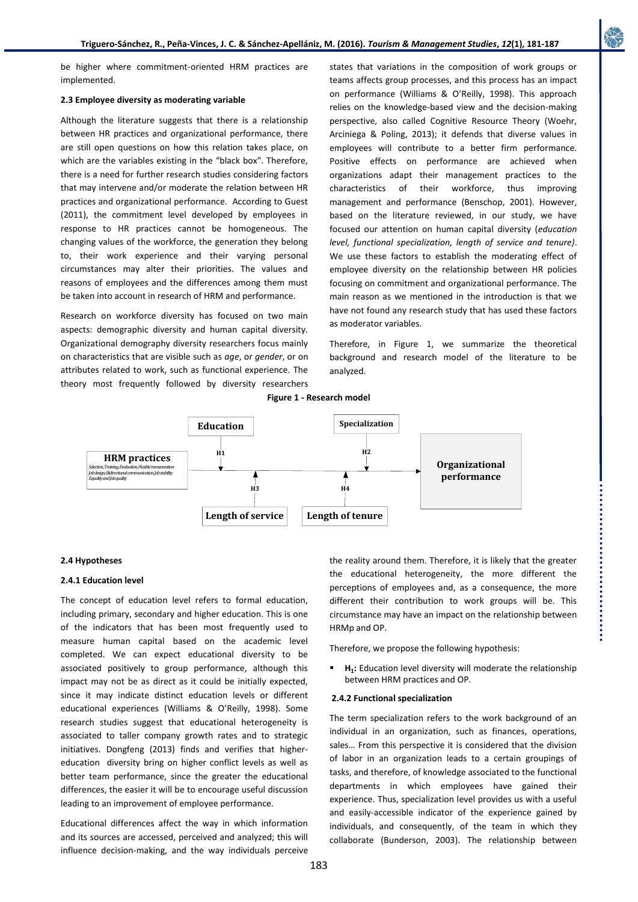

be higher where commitment-oriented HRM practices are implemented.

## **2.3 Employee diversity as moderating variable**

Although the literature suggests that there is a relationship between HR practices and organizational performance, there are still open questions on how this relation takes place, on which are the variables existing in the "black box". Therefore, there is a need for further research studies considering factors that may intervene and/or moderate the relation between HR practices and organizational performance. According to Guest (2011), the commitment level developed by employees in response to HR practices cannot be homogeneous. The changing values of the workforce, the generation they belong to, their work experience and their varying personal circumstances may alter their priorities. The values and reasons of employees and the differences among them must be taken into account in research of HRM and performance.

Research on workforce diversity has focused on two main aspects: demographic diversity and human capital diversity. Organizational demography diversity researchers focus mainly on characteristics that are visible such as *age*, or *gender*, or on attributes related to work, such as functional experience. The theory most frequently followed by diversity researchers

states that variations in the composition of work groups or teams affects group processes, and this process has an impact on performance (Williams & O'Reilly, 1998). This approach relies on the knowledge-based view and the decision-making perspective, also called Cognitive Resource Theory (Woehr, Arciniega & Poling, 2013); it defends that diverse values in employees will contribute to a better firm performance. Positive effects on performance are achieved when organizations adapt their management practices to the characteristics of their workforce, thus improving management and performance (Benschop, 2001). However, based on the literature reviewed, in our study, we have focused our attention on human capital diversity (*education level, functional specialization, length of service and tenure)*. We use these factors to establish the moderating effect of employee diversity on the relationship between HR policies focusing on commitment and organizational performance. The main reason as we mentioned in the introduction is that we have not found any research study that has used these factors as moderator variables.

Therefore, in Figure 1, we summarize the theoretical background and research model of the literature to be analyzed.





## **2.4 Hypotheses**

## **2.4.1 Education level**

The concept of education level refers to formal education, including primary, secondary and higher education. This is one of the indicators that has been most frequently used to measure human capital based on the academic level completed. We can expect educational diversity to be associated positively to group performance, although this impact may not be as direct as it could be initially expected, since it may indicate distinct education levels or different educational experiences (Williams & O'Reilly, 1998). Some research studies suggest that educational heterogeneity is associated to taller company growth rates and to strategic initiatives. Dongfeng (2013) finds and verifies that highereducation diversity bring on higher conflict levels as well as better team performance, since the greater the educational differences, the easier it will be to encourage useful discussion leading to an improvement of employee performance.

Educational differences affect the way in which information and its sources are accessed, perceived and analyzed; this will influence decision-making, and the way individuals perceive the reality around them. Therefore, it is likely that the greater the educational heterogeneity, the more different the perceptions of employees and, as a consequence, the more different their contribution to work groups will be. This circumstance may have an impact on the relationship between HRMp and OP.

Therefore, we propose the following hypothesis:

 **H<sup>1</sup> :** Education level diversity will moderate the relationship between HRM practices and OP.

#### **2.4.2 Functional specialization**

The term specialization refers to the work background of an individual in an organization, such as finances, operations, sales… From this perspective it is considered that the division of labor in an organization leads to a certain groupings of tasks, and therefore, of knowledge associated to the functional departments in which employees have gained their experience. Thus, specialization level provides us with a useful and easily-accessible indicator of the experience gained by individuals, and consequently, of the team in which they collaborate (Bunderson, 2003). The relationship between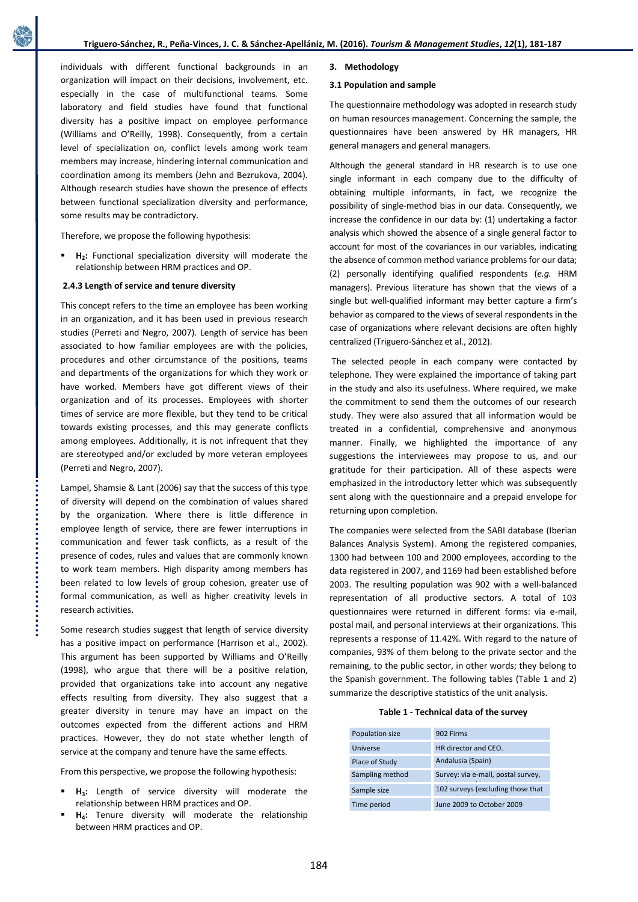individuals with different functional backgrounds in an organization will impact on their decisions, involvement, etc. especially in the case of multifunctional teams. Some laboratory and field studies have found that functional diversity has a positive impact on employee performance (Williams and O'Reilly, 1998). Consequently, from a certain level of specialization on, conflict levels among work team members may increase, hindering internal communication and coordination among its members (Jehn and Bezrukova, 2004). Although research studies have shown the presence of effects between functional specialization diversity and performance, some results may be contradictory.

Therefore, we propose the following hypothesis:

 **H<sup>2</sup> :** Functional specialization diversity will moderate the relationship between HRM practices and OP.

## **2.4.3 Length of service and tenure diversity**

This concept refers to the time an employee has been working in an organization, and it has been used in previous research studies (Perreti and Negro, 2007). Length of service has been associated to how familiar employees are with the policies, procedures and other circumstance of the positions, teams and departments of the organizations for which they work or have worked. Members have got different views of their organization and of its processes. Employees with shorter times of service are more flexible, but they tend to be critical towards existing processes, and this may generate conflicts among employees. Additionally, it is not infrequent that they are stereotyped and/or excluded by more veteran employees (Perreti and Negro, 2007).

Lampel, Shamsie & Lant (2006) say that the success of this type of diversity will depend on the combination of values shared by the organization. Where there is little difference in employee length of service, there are fewer interruptions in communication and fewer task conflicts, as a result of the presence of codes, rules and values that are commonly known to work team members. High disparity among members has been related to low levels of group cohesion, greater use of formal communication, as well as higher creativity levels in research activities.

Some research studies suggest that length of service diversity has a positive impact on performance (Harrison et al., 2002). This argument has been supported by Williams and O'Reilly (1998), who argue that there will be a positive relation, provided that organizations take into account any negative effects resulting from diversity. They also suggest that a greater diversity in tenure may have an impact on the outcomes expected from the different actions and HRM practices. However, they do not state whether length of service at the company and tenure have the same effects.

From this perspective, we propose the following hypothesis:

- **H<sup>3</sup> :** Length of service diversity will moderate the relationship between HRM practices and OP.
- **H<sup>4</sup> :** Tenure diversity will moderate the relationship between HRM practices and OP.

## **3. Methodology**

## **3.1 Population and sample**

The questionnaire methodology was adopted in research study on human resources management. Concerning the sample, the questionnaires have been answered by HR managers, HR general managers and general managers.

Although the general standard in HR research is to use one single informant in each company due to the difficulty of obtaining multiple informants, in fact, we recognize the possibility of single-method bias in our data. Consequently, we increase the confidence in our data by: (1) undertaking a factor analysis which showed the absence of a single general factor to account for most of the covariances in our variables, indicating the absence of common method variance problems for our data; (2) personally identifying qualified respondents (*e.g.* HRM managers). Previous literature has shown that the views of a single but well-qualified informant may better capture a firm's behavior as compared to the views of several respondents in the case of organizations where relevant decisions are often highly centralized (Triguero-Sánchez et al., 2012).

The selected people in each company were contacted by telephone. They were explained the importance of taking part in the study and also its usefulness. Where required, we make the commitment to send them the outcomes of our research study. They were also assured that all information would be treated in a confidential, comprehensive and anonymous manner. Finally, we highlighted the importance of any suggestions the interviewees may propose to us, and our gratitude for their participation. All of these aspects were emphasized in the introductory letter which was subsequently sent along with the questionnaire and a prepaid envelope for returning upon completion.

The companies were selected from the SABI database (Iberian Balances Analysis System). Among the registered companies, 1300 had between 100 and 2000 employees, according to the data registered in 2007, and 1169 had been established before 2003. The resulting population was 902 with a well-balanced representation of all productive sectors. A total of 103 questionnaires were returned in different forms: via e-mail, postal mail, and personal interviews at their organizations. This represents a response of 11.42%. With regard to the nature of companies, 93% of them belong to the private sector and the remaining, to the public sector, in other words; they belong to the Spanish government. The following tables (Table 1 and 2) summarize the descriptive statistics of the unit analysis.

| Population size | 902 Firms                          |
|-----------------|------------------------------------|
| Universe        | HR director and CEO.               |
| Place of Study  | Andalusia (Spain)                  |
| Sampling method | Survey: via e-mail, postal survey, |
| Sample size     | 102 surveys (excluding those that  |
| Time period     | June 2009 to October 2009          |

184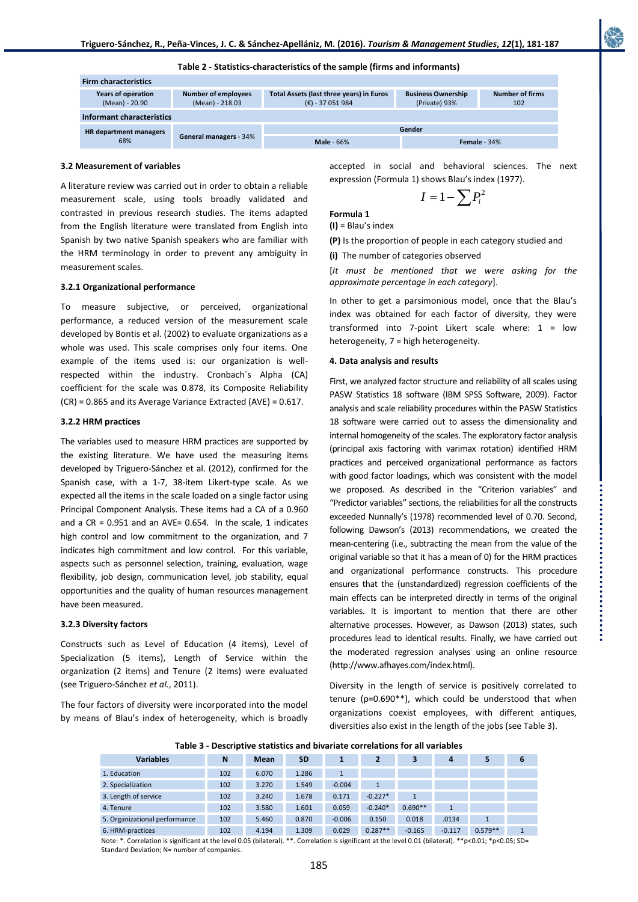**Table 2 - Statistics-characteristics of the sample (firms and informants)**

| <b>Firm characteristics</b>          |                                               |                                                              |                                            |                               |  |  |  |
|--------------------------------------|-----------------------------------------------|--------------------------------------------------------------|--------------------------------------------|-------------------------------|--|--|--|
| Years of operation<br>(Mean) - 20.90 | <b>Number of employees</b><br>(Mean) - 218.03 | Total Assets (last three years) in Euros<br>$(E) - 37051984$ | <b>Business Ownership</b><br>(Private) 93% | <b>Number of firms</b><br>102 |  |  |  |
| Informant characteristics            |                                               |                                                              |                                            |                               |  |  |  |
| <b>HR</b> department managers<br>68% | General managers - 34%                        | Gender                                                       |                                            |                               |  |  |  |
|                                      |                                               | <b>Male</b> - 66%                                            | Female - $34%$                             |                               |  |  |  |

#### **3.2 Measurement of variables**

A literature review was carried out in order to obtain a reliable measurement scale, using tools broadly validated and contrasted in previous research studies. The items adapted from the English literature were translated from English into Spanish by two native Spanish speakers who are familiar with the HRM terminology in order to prevent any ambiguity in measurement scales.

#### **3.2.1 Organizational performance**

To measure subjective, or perceived, organizational performance, a reduced version of the measurement scale developed by Bontis et al. (2002) to evaluate organizations as a whole was used. This scale comprises only four items. One example of the items used is: our organization is wellrespected within the industry. Cronbach´s Alpha (CA) coefficient for the scale was 0.878, its Composite Reliability (CR) = 0.865 and its Average Variance Extracted (AVE) = 0.617.

#### **3.2.2 HRM practices**

The variables used to measure HRM practices are supported by the existing literature. We have used the measuring items developed by Triguero-Sánchez et al. (2012), confirmed for the Spanish case, with a 1-7, 38-item Likert-type scale. As we expected all the items in the scale loaded on a single factor using Principal Component Analysis. These items had a CA of a 0.960 and a  $CR = 0.951$  and an AVE= 0.654. In the scale, 1 indicates high control and low commitment to the organization, and 7 indicates high commitment and low control. For this variable, aspects such as personnel selection, training, evaluation, wage flexibility, job design, communication level, job stability, equal opportunities and the quality of human resources management have been measured.

#### **3.2.3 Diversity factors**

Constructs such as Level of Education (4 items), Level of Specialization (5 items), Length of Service within the organization (2 items) and Tenure (2 items) were evaluated (see Triguero-Sánchez *et al.*, 2011).

The four factors of diversity were incorporated into the model by means of Blau's index of heterogeneity, which is broadly accepted in social and behavioral sciences. The next expression (Formula 1) shows Blau's index (1977).

$$
I=1-\sum P_i^2
$$

**(I)** = Blau's index

**Formula 1**

**(P)** Is the proportion of people in each category studied and **(i)** The number of categories observed

[*It must be mentioned that we were asking for the approximate percentage in each category*].

In other to get a parsimonious model, once that the Blau's index was obtained for each factor of diversity, they were transformed into 7-point Likert scale where: 1 = low heterogeneity, 7 = high heterogeneity.

#### **4. Data analysis and results**

First, we analyzed factor structure and reliability of all scales using PASW Statistics 18 software (IBM SPSS Software, 2009). Factor analysis and scale reliability procedures within the PASW Statistics 18 software were carried out to assess the dimensionality and internal homogeneity of the scales. The exploratory factor analysis (principal axis factoring with varimax rotation) identified HRM practices and perceived organizational performance as factors with good factor loadings, which was consistent with the model we proposed. As described in the "Criterion variables" and "Predictor variables" sections, the reliabilities for all the constructs exceeded Nunnally's (1978) recommended level of 0.70. Second, following Dawson's (2013) recommendations, we created the mean-centering (i.e., subtracting the mean from the value of the original variable so that it has a mean of 0) for the HRM practices and organizational performance constructs. This procedure ensures that the (unstandardized) regression coefficients of the main effects can be interpreted directly in terms of the original variables. It is important to mention that there are other alternative processes. However, as Dawson (2013) states, such procedures lead to identical results. Finally, we have carried out the moderated regression analyses using an online resource (http://www.afhayes.com/index.html).

Diversity in the length of service is positively correlated to tenure (p=0.690\*\*), which could be understood that when organizations coexist employees, with different antiques, diversities also exist in the length of the jobs (see Table 3).

**Table 3 - Descriptive statistics and bivariate correlations for all variables**

| <b>Variables</b>              | N   | Mean  | <b>SD</b> |          |              |           | 4        |           | 6 |
|-------------------------------|-----|-------|-----------|----------|--------------|-----------|----------|-----------|---|
| 1. Education                  | 102 | 6.070 | 1.286     |          |              |           |          |           |   |
| 2. Specialization             | 102 | 3.270 | 1.549     | $-0.004$ | $\mathbf{1}$ |           |          |           |   |
| 3. Length of service          | 102 | 3.240 | 1.678     | 0.171    | $-0.227*$    |           |          |           |   |
| 4. Tenure                     | 102 | 3.580 | 1.601     | 0.059    | $-0.240*$    | $0.690**$ | 1        |           |   |
| 5. Organizational performance | 102 | 5.460 | 0.870     | $-0.006$ | 0.150        | 0.018     | .0134    |           |   |
| 6. HRM-practices              | 102 | 4.194 | 1.309     | 0.029    | $0.287**$    | $-0.165$  | $-0.117$ | $0.579**$ |   |

Note: \*. Correlation is significant at the level 0.05 (bilateral). \*\*. Correlation is significant at the level 0.01 (bilateral). \*\*p<0.01; \*p<0.05; SD= Standard Deviation; N= number of companies.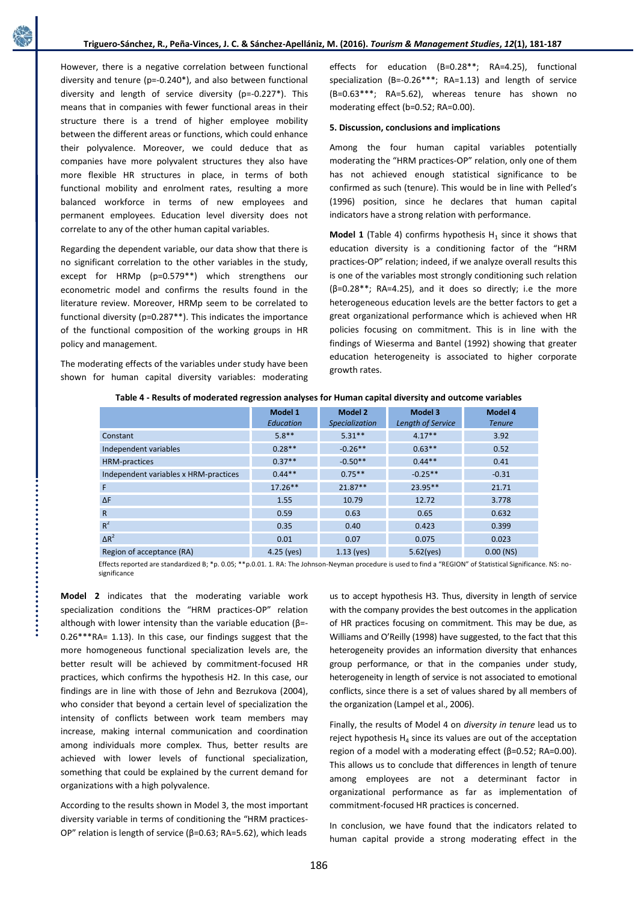However, there is a negative correlation between functional diversity and tenure (p=-0.240\*), and also between functional diversity and length of service diversity (p=-0.227\*). This means that in companies with fewer functional areas in their structure there is a trend of higher employee mobility between the different areas or functions, which could enhance their polyvalence. Moreover, we could deduce that as companies have more polyvalent structures they also have more flexible HR structures in place, in terms of both functional mobility and enrolment rates, resulting a more balanced workforce in terms of new employees and permanent employees. Education level diversity does not correlate to any of the other human capital variables.

Regarding the dependent variable, our data show that there is no significant correlation to the other variables in the study, except for HRMp (p=0.579\*\*) which strengthens our econometric model and confirms the results found in the literature review. Moreover, HRMp seem to be correlated to functional diversity (p=0.287\*\*). This indicates the importance of the functional composition of the working groups in HR policy and management.

The moderating effects of the variables under study have been shown for human capital diversity variables: moderating

effects for education (B=0.28\*\*; RA=4.25), functional specialization (B=-0.26\*\*\*; RA=1.13) and length of service (B=0.63\*\*\*; RA=5.62), whereas tenure has shown no moderating effect (b=0.52; RA=0.00).

### **5. Discussion, conclusions and implications**

Among the four human capital variables potentially moderating the "HRM practices-OP" relation, only one of them has not achieved enough statistical significance to be confirmed as such (tenure). This would be in line with Pelled's (1996) position, since he declares that human capital indicators have a strong relation with performance.

**Model 1** (Table 4) confirms hypothesis  $H_1$  since it shows that education diversity is a conditioning factor of the "HRM practices-OP" relation; indeed, if we analyze overall results this is one of the variables most strongly conditioning such relation (β=0.28\*\*; RA=4.25), and it does so directly; i.e the more heterogeneous education levels are the better factors to get a great organizational performance which is achieved when HR policies focusing on commitment. This is in line with the findings of Wieserma and Bantel (1992) showing that greater education heterogeneity is associated to higher corporate growth rates.

|                                       | Model 1<br>Education | Model 2<br>Specialization | Model 3<br>Length of Service | Model 4<br><b>Tenure</b> |
|---------------------------------------|----------------------|---------------------------|------------------------------|--------------------------|
| Constant                              | $5.8**$              | $5.31**$                  | $4.17**$                     | 3.92                     |
| Independent variables                 | $0.28**$             | $-0.26**$                 | $0.63***$                    | 0.52                     |
| <b>HRM-practices</b>                  | $0.37**$             | $-0.50**$                 | $0.44**$                     | 0.41                     |
| Independent variables x HRM-practices | $0.44**$             | $0.75***$                 | $-0.25**$                    | $-0.31$                  |
| F                                     | $17.26**$            | $21.87**$                 | $23.95**$                    | 21.71                    |
| $\Delta F$                            | 1.55                 | 10.79                     | 12.72                        | 3.778                    |
| $\mathsf{R}$                          | 0.59                 | 0.63                      | 0.65                         | 0.632                    |
| $R^2$                                 | 0.35                 | 0.40                      | 0.423                        | 0.399                    |
| $\Delta R^2$                          | 0.01                 | 0.07                      | 0.075                        | 0.023                    |
| Region of acceptance (RA)             | $4.25$ (yes)         | $1.13$ (yes)              | 5.62(yes)                    | $0.00$ (NS)              |

**Table 4 - Results of moderated regression analyses for Human capital diversity and outcome variables**

Effects reported are standardized B; \*p. 0.05; \*\*p.0.01. 1. RA: The Johnson-Neyman procedure is used to find a "REGION" of Statistical Significance. NS: nosignificance

**Model 2** indicates that the moderating variable work specialization conditions the "HRM practices-OP" relation although with lower intensity than the variable education (β=- 0.26\*\*\*RA= 1.13). In this case, our findings suggest that the more homogeneous functional specialization levels are, the better result will be achieved by commitment-focused HR practices, which confirms the hypothesis H2. In this case, our findings are in line with those of Jehn and Bezrukova (2004), who consider that beyond a certain level of specialization the intensity of conflicts between work team members may increase, making internal communication and coordination among individuals more complex. Thus, better results are achieved with lower levels of functional specialization, something that could be explained by the current demand for organizations with a high polyvalence.

According to the results shown in Model 3, the most important diversity variable in terms of conditioning the "HRM practices-OP" relation is length of service (β=0.63; RA=5.62), which leads

us to accept hypothesis H3. Thus, diversity in length of service with the company provides the best outcomes in the application of HR practices focusing on commitment. This may be due, as Williams and O'Reilly (1998) have suggested, to the fact that this heterogeneity provides an information diversity that enhances group performance, or that in the companies under study, heterogeneity in length of service is not associated to emotional conflicts, since there is a set of values shared by all members of the organization (Lampel et al., 2006).

Finally, the results of Model 4 on *diversity in tenure* lead us to reject hypothesis  $H_4$  since its values are out of the acceptation region of a model with a moderating effect (β=0.52; RA=0.00). This allows us to conclude that differences in length of tenure among employees are not a determinant factor in organizational performance as far as implementation of commitment-focused HR practices is concerned.

In conclusion, we have found that the indicators related to human capital provide a strong moderating effect in the